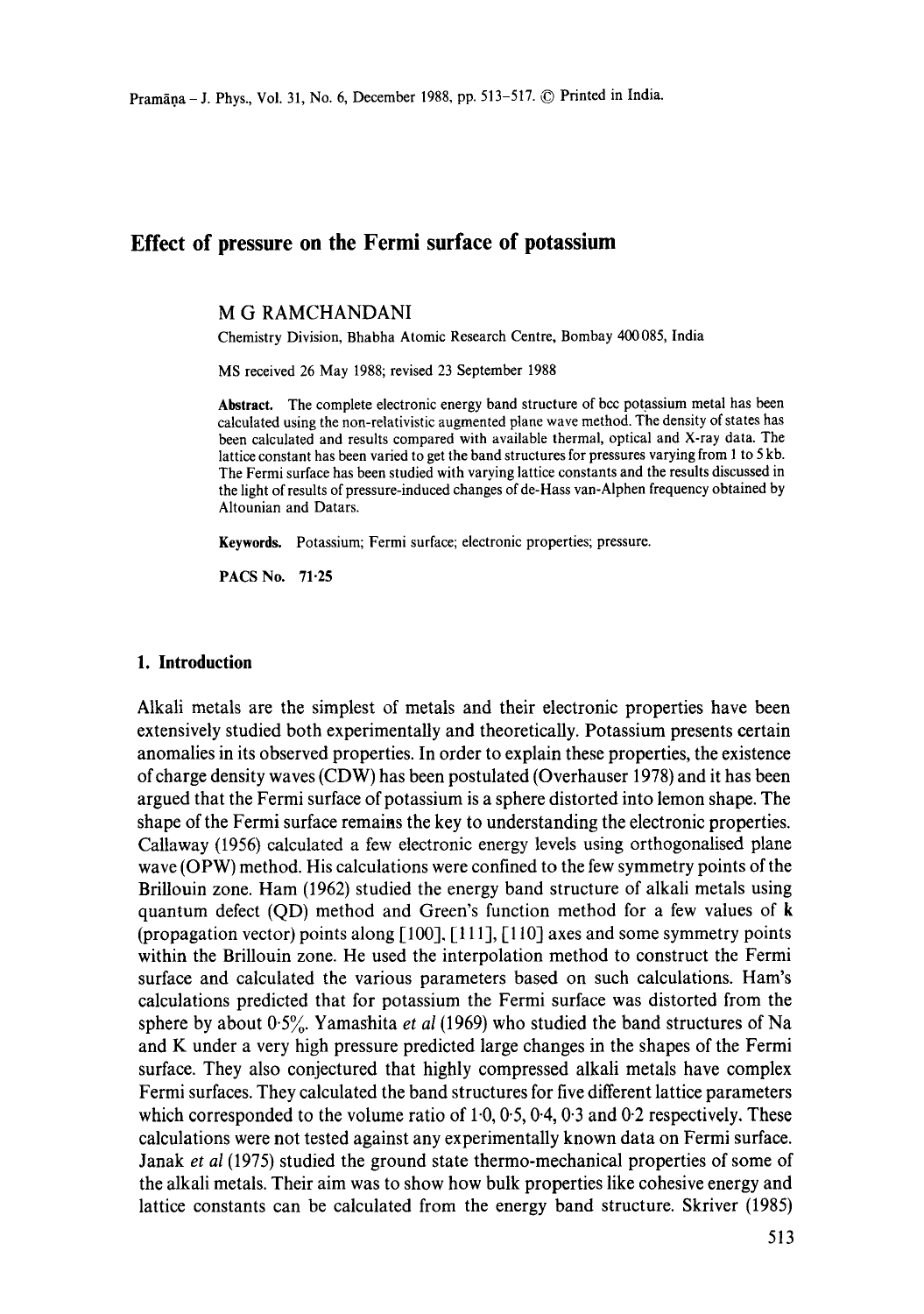# **Effect of pressure on the Fermi surface of potassium**

M G RAMCHANDANI

Chemistry Division, Bhabha Atomic Research Centre, Bombay 400 085, India

MS received 26 May 1988; revised 23 September 1988

**Abstract.** The complete electronic energy band structure of bcc potassium metal has been calculated using the non-relativistic augmented plane wave method. The density of states has been calculated and results compared with available thermal, optical and X-ray data. The lattice constant has been varied to get the band structures for pressures varying from I to 5 kb. The Fermi surface has been studied with varying lattice constants and the results discussed in the light of results of pressure-induced changes of de-Hass van-Alphen frequency obtained by Altounian and Datars.

**Keywords.** Potassium; Fermi surface; electronic properties; pressure.

PACS No. **71-25** 

#### **1. Introduction**

Alkali metals are the simplest of metals and their electronic properties have been extensively studied both experimentally and theoretically. Potassium presents certain anomalies in its observed properties. In order to explain these properties, the existence of charge density waves (CDW) has been postulated (Overhauser 1978) and it has been argued that the Fermi surface of potassium is a sphere distorted into lemon shape. The shape of the Fermi surface remains the key to understanding the electronic properties. Callaway (1956) calculated a few electronic energy levels using orthogonalised plane wave (OPW) method. His calculations were confined to the few symmetry points of the Brillouin zone. Ham (1962) studied the energy band structure of alkali metals using quantum defect (QD) method and Green's function method for a few values of k (propagation vector) points along [100], [111], [110] axes and some symmetry points within the Brillouin zone. He used the interpolation method to construct the Fermi surface and calculated the various parameters based on such calculations. Ham's calculations predicted that for potassium the Fermi surface was distorted from the sphere by about 0.5%. Yamashita *et al* (1969) who studied the band structures of Na and K under a very high pressure predicted large changes in the shapes of the Fermi surface. They also conjectured that highly compressed alkali metals have complex Fermi surfaces. They calculated the band structures for five different lattice parameters which corresponded to the volume ratio of  $1.0, 0.5, 0.4, 0.3$  and  $0.2$  respectively. These calculations were not tested against any experimentally known data on Fermi surface. Janak *et al* (1975) studied the ground state thermo-mechanical properties of some of the alkali metals. Their aim was to show how bulk properties like cohesive energy and lattice constants can be calculated from the energy band structure. Skriver (1985)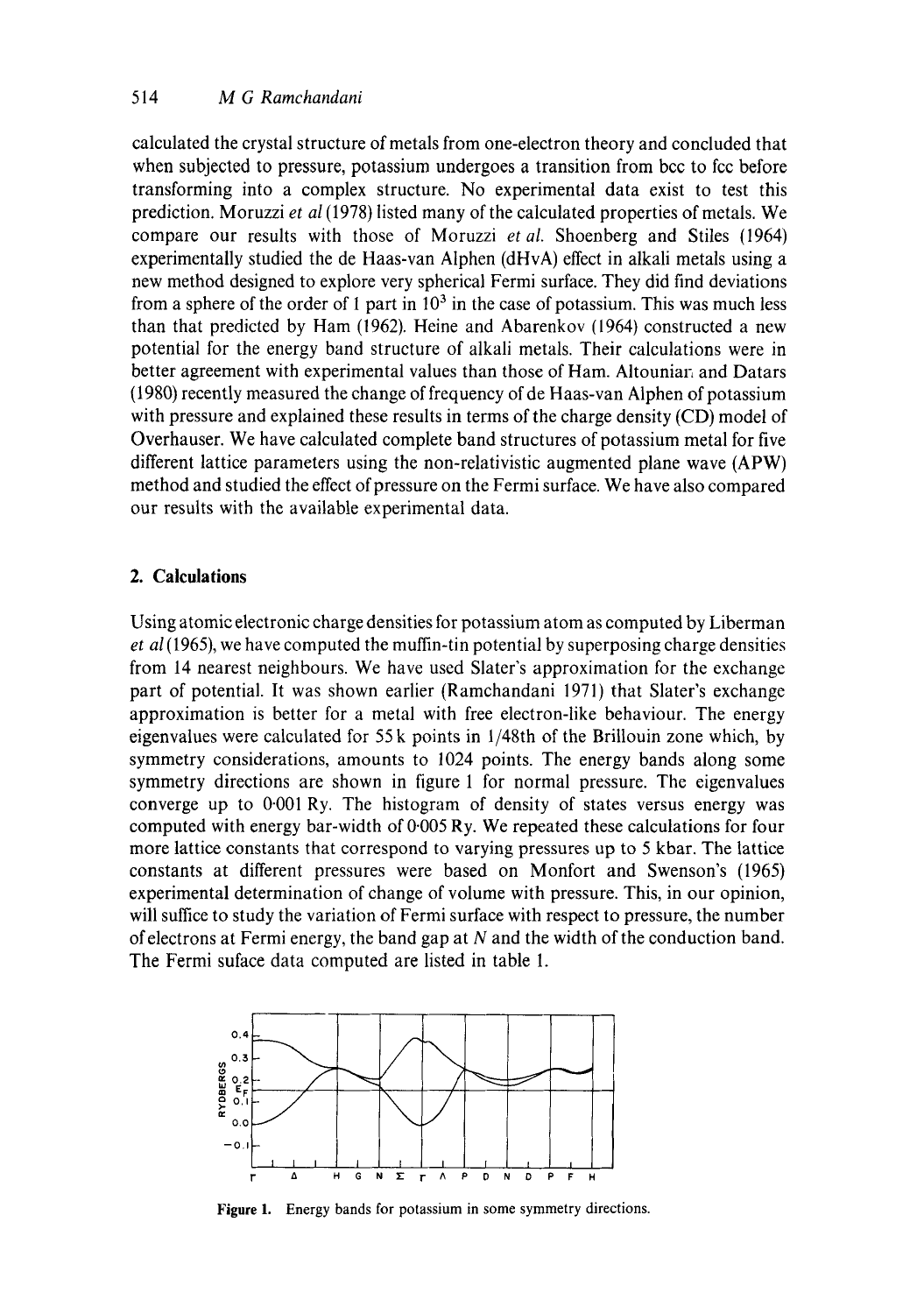# 514 *M G Ramchandani*

calculated the crystal structure of metals from one-electron theory and concluded that when subjected to pressure, potassium undergoes a transition from bcc to fcc before transforming into a complex structure. No experimental data exist to test this prediction. Moruzzi *et al* (1978) listed many of the calculated properties of metals. We compare our results with those of Moruzzi *et al.* Shoenberg and Stiles (1964) experimentally studied the de Haas-van Alphen (dHvA) effect in alkali metals using a new method designed to explore very spherical Fermi surface. They did find deviations from a sphere of the order of 1 part in  $10<sup>3</sup>$  in the case of potassium. This was much less than that predicted by Ham  $(1962)$ . Heine and Abarenkov  $(1964)$  constructed a new potential for the energy band structure of alkali metals. Their calculations were in better agreement with experimental values than those of Ham. Altouniar, and Datars (1980) recently measured the change of frequency of de Haas-van Alphen of potassium with pressure and explained these results in terms of the charge density (CD) model of Overhauser. We have calculated complete band structures of potassium metal for five different lattice parameters using the non-relativistic augmented plane wave (APW) method and studied the effect of pressure on the Fermi surface. We have also compared our results with the available experimental data.

# **2. Calculations**

Using atomic electronic charge densities for potassium atom as computed by Liberman *et al* (1965), we have computed the muffin-tin potential by superposing charge densities from 14 nearest neighbours. We have used Slater's approximation for the exchange part of potential. It was shown earlier (Ramchandani 1971) that Slater's exchange approximation is better for a metal with free electron-like behaviour. The energy eigenvalues were calculated for 55 k points in 1/48th of the Brillouin zone which, by symmetry considerations, amounts to 1024 points. The energy bands along some symmetry directions are shown in figure 1 for normal pressure. The eigenvalues converge up to 0.001 Ry. The histogram of density of states versus energy was computed with energy bar-width of 0.005 Ry. We repeated these calculations for four more lattice constants that correspond to varying pressures up to 5 kbar. The lattice constants at different pressures were based on Monfort and Swenson's (1965) experimental determination of change of volume with pressure. This, in our opinion, will suffice to study the variation of Fermi surface with respect to pressure, the number of electrons at Fermi energy, the band gap at N and the width of the conduction band. The Fermi suface data computed are listed in table 1.



Figure 1. Energy bands for potassium in some symmetry directions.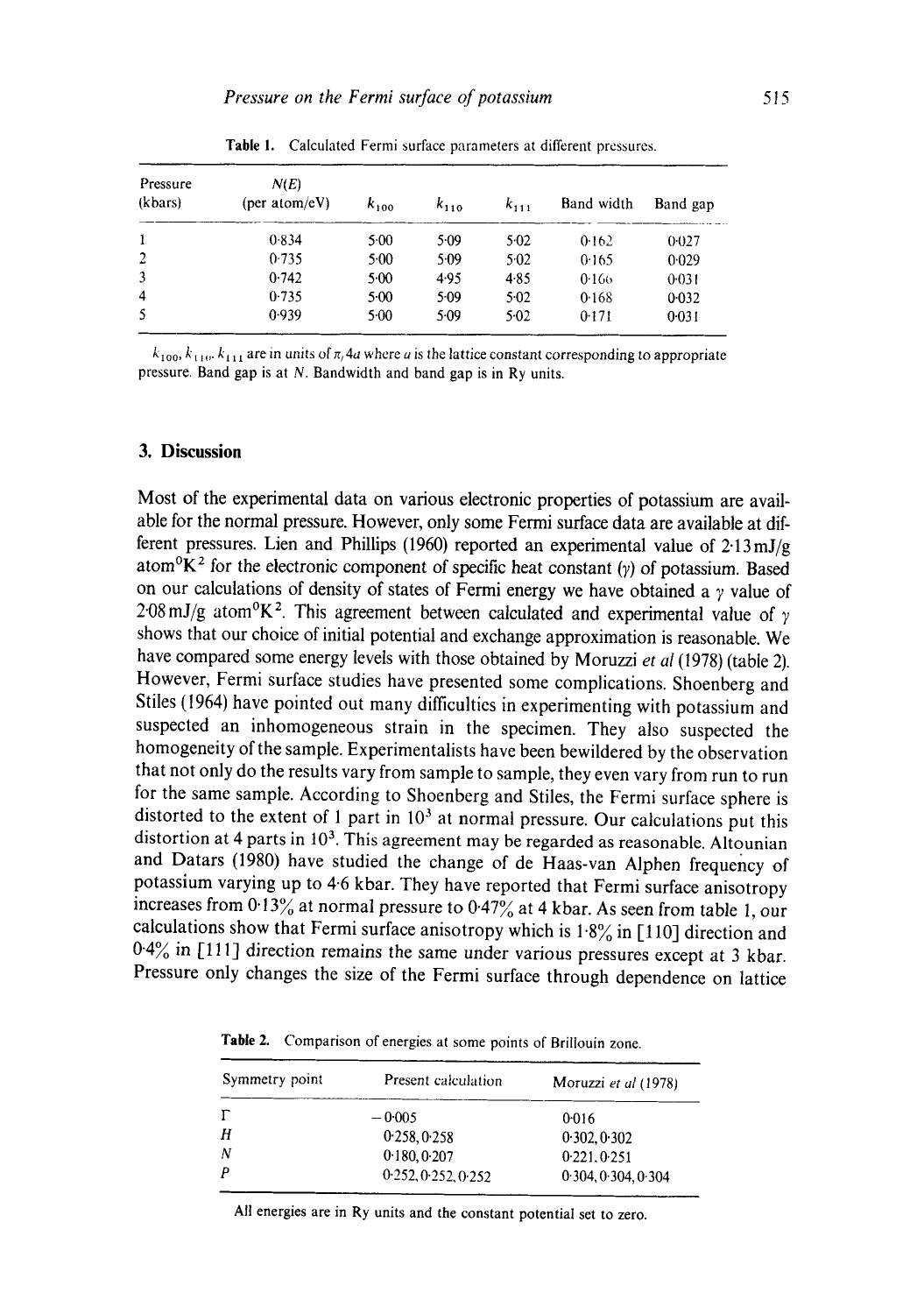| Pressure<br>(kbars) | N(E)<br>(per atom/eV) | $k_{100}$ | $k_{110}$ | $k_{111}$ | Band width | Band gap |
|---------------------|-----------------------|-----------|-----------|-----------|------------|----------|
| $\mathbf{1}$        | 0.834                 | 5.00      | 5.09      | $5-02$    | 0.162      | 0:027    |
| 2                   | 0.735                 | $5-00$    | 5.09      | $5-02$    | 0.165      | 0.029    |
| 3                   | 0.742                 | 5.00      | 4.95      | 4.85      | 0.166      | 0.031    |
| 4                   | 0.735                 | 5.00      | 5.09      | 5.02      | 0.168      | 0.032    |
| -5                  | 0.939                 | 5.00      | 5.09      | 5.02      | 0.171      | 0.031    |

Table 1. Calculated Fermi surface parameters at different pressures.

 $k_{100}$ ,  $k_{110}$ ,  $k_{111}$  are in units of  $\pi$ , 4a where a is the lattice constant corresponding to appropriate pressure. Band gap is at N. Bandwidth and band gap is in Ry units.

#### **3. Discussion**

Most of the experimental data on various electronic properties of potassium are available for the normal pressure. However, only some Fermi surface data are available at different pressures. Lien and Phillips (1960) reported an experimental value of  $2.13 \text{ mJ/g}$ atom<sup>o</sup>K<sup>2</sup> for the electronic component of specific heat constant (y) of potassium. Based on our calculations of density of states of Fermi energy we have obtained a  $\gamma$  value of 2.08 mJ/g atom<sup>o</sup>K<sup>2</sup>. This agreement between calculated and experimental value of  $\gamma$ shows that our choice of initial potential and exchange approximation is reasonable. We have compared some energy levels with those obtained by Moruzzi *et al* (1978) (table 2). However, Fermi surface studies have presented some complications. Shoenberg and Stiles (1964) have pointed out many difficulties in experimenting with potassium and suspected an inhomogeneous strain in the specimen. They also suspected the homogeneity of the sample. Experimentalists have been bewildered by the observation that not only do the results vary from sample to sample, they even vary from run to run for the same sample. According to Shoenberg and Stiles, the Fermi surface sphere is distorted to the extent of 1 part in  $10<sup>3</sup>$  at normal pressure. Our calculations put this distortion at 4 parts in  $10<sup>3</sup>$ . This agreement may be regarded as reasonable. Altounian and Datars (1980) have studied the change of de Haas-van Alphen frequency of potassium varying up to 4.6 kbar. They have reported that Fermi surface anisotropy increases from  $0.13\%$  at normal pressure to  $0.47\%$  at 4 kbar. As seen from table 1, our calculations show that Fermi surface anisotropy which is  $1.8\%$  in [110] direction and 0-4% in [111] direction remains the same under various pressures except at 3 kbar. Pressure only changes the size of the Fermi surface through dependence on lattice

| Symmetry point | Present calculation | Moruzzi et al (1978) |  |
|----------------|---------------------|----------------------|--|
| Г              | $-0.005$            | 0:016                |  |
| Η              | 0.258, 0.258        | 0.302, 0.302         |  |
| Ν              | 0.180, 0.207        | 0.221, 0.251         |  |
| Ρ              | 0.252, 0.252, 0.252 | 0.304, 0.304, 0.304  |  |

**Table** 2. Comparison of energies at some points of Brillouin zone.

All energies are in Ry units and the constant potential set to zero.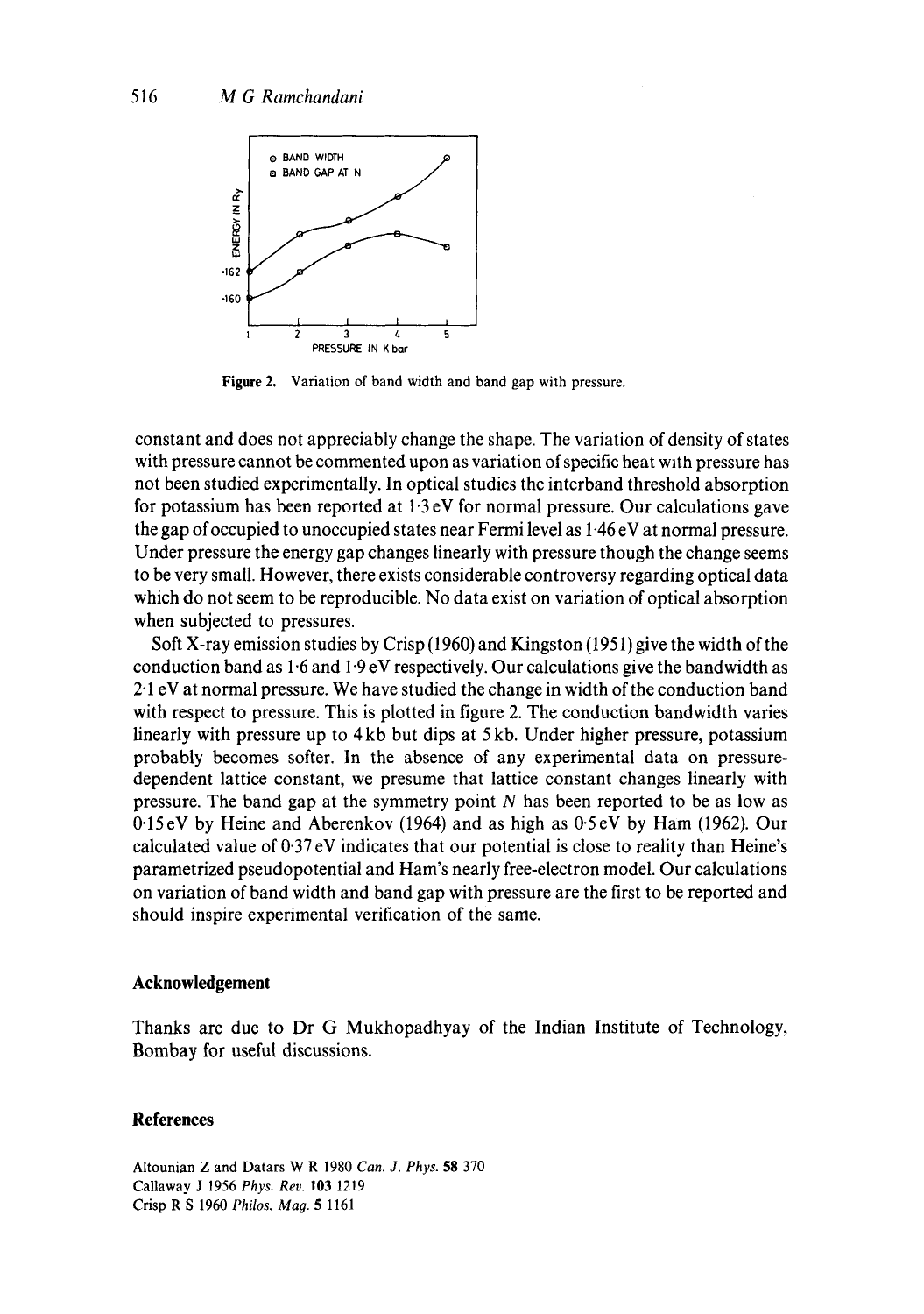

Figure 2. Variation of band width and band gap with pressure.

constant and does not appreciably change the shape. The variation of density of states with pressure cannot be commented upon as variation of specific heat with pressure has not been studied experimentally. In optical studies the interband threshold absorption for potassium has been reported at  $1.3 \text{ eV}$  for normal pressure. Our calculations gave the gap of occupied to unoccupied states near Fermi level as 1.46 eV at normal pressure. Under pressure the energy gap changes linearly with pressure though the change seems to be very small. However, there exists considerable controversy regarding optical data which do not seem to be reproducible. No data exist on variation of optical absorption when subjected to pressures.

Soft X-ray emission studies by Crisp (1960) and Kingston (1951) give the width of the conduction band as 1.6 and 1.9 eV respectively. Our calculations give the bandwidth as 2"1 eV at normal pressure. We have studied the change in width of the conduction band with respect to pressure. This is plotted in figure 2. The conduction bandwidth varies linearly with pressure up to 4 kb but dips at 5 kb. Under higher pressure, potassium probably becomes softer. In the absence of any experimental data on pressuredependent lattice constant, we presume that lattice constant changes linearly with pressure. The band gap at the symmetry point  $N$  has been reported to be as low as 0.15eV by Heine and Aberenkov (1964) and as high as 0.5eV by Ham (1962). Our calculated value of 0.37 eV indicates that our potential is close to reality than Heine's parametrized pseudopotential and Ham's nearly free-electron model. Our calculations on variation of band width and band gap with pressure are the first to be reported and should inspire experimental verification of the same.

#### **Acknowledgement**

Thanks are due to Dr G Mukhopadhyay of the Indian Institute of Technology, Bombay for useful discussions.

### **References**

Altounian Z and Datars W R 1980 *Can. J. Phys.* 58 370 Callaway J 1956 *Phys. Rev.* 103 1219 Crisp R S 1960 *Philos. Mag.* 5 1161